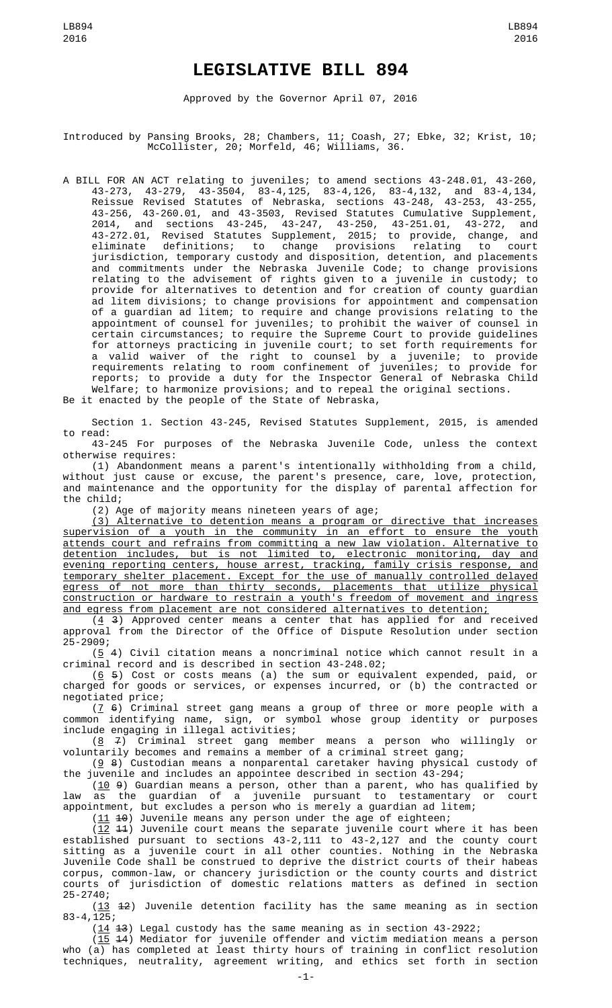## **LEGISLATIVE BILL 894**

Approved by the Governor April 07, 2016

Introduced by Pansing Brooks, 28; Chambers, 11; Coash, 27; Ebke, 32; Krist, 10; McCollister, 20; Morfeld, 46; Williams, 36.

A BILL FOR AN ACT relating to juveniles; to amend sections 43-248.01, 43-260, 43-273, 43-279, 43-3504, 83-4,125, 83-4,126, 83-4,132, and 83-4,134, Reissue Revised Statutes of Nebraska, sections 43-248, 43-253, 43-255, 43-256, 43-260.01, and 43-3503, Revised Statutes Cumulative Supplement, 2014, and sections 43-245, 43-247, 43-250, 43-251.01, 43-272, and 43-272.01, Revised Statutes Supplement, 2015; to provide, change, and eliminate definitions; to change provisions relating to court jurisdiction, temporary custody and disposition, detention, and placements and commitments under the Nebraska Juvenile Code; to change provisions relating to the advisement of rights given to a juvenile in custody; to provide for alternatives to detention and for creation of county guardian ad litem divisions; to change provisions for appointment and compensation of a guardian ad litem; to require and change provisions relating to the appointment of counsel for juveniles; to prohibit the waiver of counsel in certain circumstances; to require the Supreme Court to provide guidelines for attorneys practicing in juvenile court; to set forth requirements for a valid waiver of the right to counsel by a juvenile; to provide requirements relating to room confinement of juveniles; to provide for reports; to provide a duty for the Inspector General of Nebraska Child Welfare; to harmonize provisions; and to repeal the original sections. Be it enacted by the people of the State of Nebraska,

Section 1. Section 43-245, Revised Statutes Supplement, 2015, is amended to read:

43-245 For purposes of the Nebraska Juvenile Code, unless the context otherwise requires:

(1) Abandonment means a parent's intentionally withholding from a child, without just cause or excuse, the parent's presence, care, love, protection, and maintenance and the opportunity for the display of parental affection for the child;

(2) Age of majority means nineteen years of age;

(3) Alternative to detention means a program or directive that increases supervision of a youth in the community in an effort to ensure the youth attends court and refrains from committing a new law violation. Alternative to detention includes, but is not limited to, electronic monitoring, day and evening reporting centers, house arrest, tracking, family crisis response, and temporary shelter placement. Except for the use of manually controlled delayed egress of not more than thirty seconds, placements that utilize physical construction or hardware to restrain a youth's freedom of movement and ingress and egress from placement are not considered alternatives to detention;

 $(4, 3)$  Approved center means a center that has applied for and received approval from the Director of the Office of Dispute Resolution under section 25-2909;

 $(5 4)$  Civil citation means a noncriminal notice which cannot result in a criminal record and is described in section 43-248.02;

 $(6, 5)$  Cost or costs means (a) the sum or equivalent expended, paid, or charged for goods or services, or expenses incurred, or (b) the contracted or negotiated price;

 $(7, 6)$  Criminal street gang means a group of three or more people with a common identifying name, sign, or symbol whose group identity or purposes include engaging in illegal activities;

 $(8 \t 7)$  Criminal street gang member means a person who willingly or voluntarily becomes and remains a member of a criminal street gang;

(9 8) Custodian means a nonparental caretaker having physical custody of the juvenile and includes an appointee described in section 43-294;

 $(10 9)$  Guardian means a person, other than a parent, who has qualified by law as the guardian of a juvenile pursuant to testamentary or court appointment, but excludes a person who is merely a guardian ad litem;

 $(11 \t 10)$  Juvenile means any person under the age of eighteen;

 $(12 \t 11)$  Juvenile court means the separate juvenile court where it has been established pursuant to sections 43-2,111 to 43-2,127 and the county court sitting as a juvenile court in all other counties. Nothing in the Nebraska Juvenile Code shall be construed to deprive the district courts of their habeas corpus, common-law, or chancery jurisdiction or the county courts and district courts of jurisdiction of domestic relations matters as defined in section 25-2740;

 $(13 \t 12)$  Juvenile detention facility has the same meaning as in section 83-4,125;

 $(14 \t3)$  Legal custody has the same meaning as in section 43-2922;

 $(15\; 44)$  Mediator for juvenile offender and victim mediation means a person who (a) has completed at least thirty hours of training in conflict resolution techniques, neutrality, agreement writing, and ethics set forth in section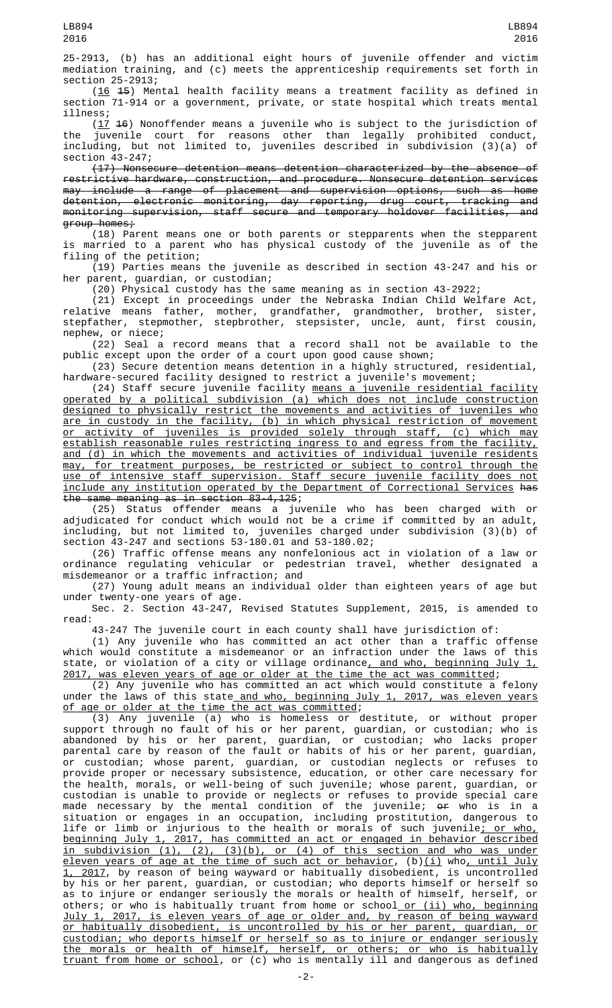25-2913, (b) has an additional eight hours of juvenile offender and victim mediation training, and (c) meets the apprenticeship requirements set forth in section 25-2913;

(16 15) Mental health facility means a treatment facility as defined in section 71-914 or a government, private, or state hospital which treats mental illness;

 $(17, 46)$  Nonoffender means a juvenile who is subject to the jurisdiction of the juvenile court for reasons other than legally prohibited conduct, including, but not limited to, juveniles described in subdivision (3)(a) of section 43-247;

(17) Nonsecure detention means detention characterized by the absence of restrictive hardware, construction, and procedure. Nonsecure detention services may include a range of placement and supervision options, such as home detention, electronic monitoring, day reporting, drug court, tracking and monitoring supervision, staff secure and temporary holdover facilities, and group homes;

(18) Parent means one or both parents or stepparents when the stepparent is married to a parent who has physical custody of the juvenile as of the filing of the petition;

(19) Parties means the juvenile as described in section 43-247 and his or her parent, guardian, or custodian;

(20) Physical custody has the same meaning as in section 43-2922;

(21) Except in proceedings under the Nebraska Indian Child Welfare Act, relative means father, mother, grandfather, grandmother, brother, sister, stepfather, stepmother, stepbrother, stepsister, uncle, aunt, first cousin, nephew, or niece;

(22) Seal a record means that a record shall not be available to the public except upon the order of a court upon good cause shown;

(23) Secure detention means detention in a highly structured, residential, hardware-secured facility designed to restrict a juvenile's movement;

(24) Staff secure juvenile facility means a juvenile residential facility operated by a political subdivision (a) which does not include construction designed to physically restrict the movements and activities of juveniles who are in custody in the facility, (b) in which physical restriction of movement or activity of juveniles is provided solely through staff, (c) which may establish reasonable rules restricting ingress to and egress from the facility, and (d) in which the movements and activities of individual juvenile residents may, for treatment purposes, be restricted or subject to control through the use of intensive staff supervision. Staff secure juvenile facility does not include any institution operated by the Department of Correctional Services has the same meaning as in section 83-4,125;

(25) Status offender means a juvenile who has been charged with or adjudicated for conduct which would not be a crime if committed by an adult, including, but not limited to, juveniles charged under subdivision (3)(b) of section 43-247 and sections 53-180.01 and 53-180.02;

(26) Traffic offense means any nonfelonious act in violation of a law or ordinance regulating vehicular or pedestrian travel, whether designated a misdemeanor or a traffic infraction; and

(27) Young adult means an individual older than eighteen years of age but under twenty-one years of age.

Sec. 2. Section 43-247, Revised Statutes Supplement, 2015, is amended to read:

43-247 The juvenile court in each county shall have jurisdiction of:

(1) Any juvenile who has committed an act other than a traffic offense which would constitute a misdemeanor or an infraction under the laws of this state, or violation of a city or village ordinance<u>, and who, beginning July 1,</u> 2017, was eleven years of age or older at the time the act was committed;

(2) Any juvenile who has committed an act which would constitute a felony under the laws of this state<u> and who, beginning July 1, 2017, was eleven years</u> of age or older at the time the act was committed;

(3) Any juvenile (a) who is homeless or destitute, or without proper support through no fault of his or her parent, guardian, or custodian; who is abandoned by his or her parent, guardian, or custodian; who lacks proper parental care by reason of the fault or habits of his or her parent, guardian, or custodian; whose parent, guardian, or custodian neglects or refuses to provide proper or necessary subsistence, education, or other care necessary for the health, morals, or well-being of such juvenile; whose parent, guardian, or custodian is unable to provide or neglects or refuses to provide special care made necessary by the mental condition of the juvenile; <del>or</del> who is in a situation or engages in an occupation, including prostitution, dangerous to life or limb or injurious to the health or morals of such juvenile<u>; or who,</u> beginning July 1, 2017, has committed an act or engaged in behavior described in subdivision (1), (2), (3)(b), or (4) of this section and who was under eleven years of age at the time of such act or behavior, (b)(i) who, until July 1, 2017, by reason of being wayward or habitually disobedient, is uncontrolled by his or her parent, guardian, or custodian; who deports himself or herself so as to injure or endanger seriously the morals or health of himself, herself, or others; or who is habitually truant from home or school<u> or (ii) who, beginning</u> July 1, 2017, is eleven years of age or older and, by reason of being wayward or habitually disobedient, is uncontrolled by his or her parent, guardian, or custodian; who deports himself or herself so as to injure or endanger seriously the morals or health of himself, herself, or others; or who is habitually <u>truant from home or school</u>, or (c) who is mentally ill and dangerous as defined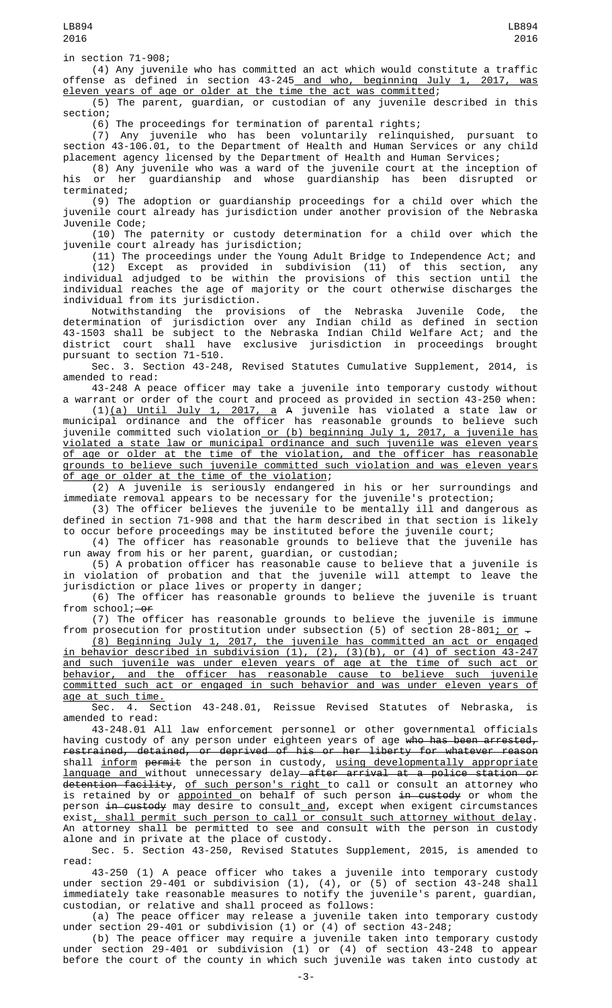in section 71-908;

(4) Any juvenile who has committed an act which would constitute a traffic offense as defined in section 43-245 and who, beginning July 1, 2017, was eleven years of age or older at the time the act was committed;

(5) The parent, guardian, or custodian of any juvenile described in this section;

(6) The proceedings for termination of parental rights;

(7) Any juvenile who has been voluntarily relinquished, pursuant to section 43-106.01, to the Department of Health and Human Services or any child placement agency licensed by the Department of Health and Human Services;

(8) Any juvenile who was a ward of the juvenile court at the inception of his or her guardianship and whose guardianship has been disrupted or terminated;

(9) The adoption or guardianship proceedings for a child over which the juvenile court already has jurisdiction under another provision of the Nebraska Juvenile Code;

(10) The paternity or custody determination for a child over which the juvenile court already has jurisdiction;

(11) The proceedings under the Young Adult Bridge to Independence Act; and (12) Except as provided in subdivision (11) of this section, any individual adjudged to be within the provisions of this section until the individual reaches the age of majority or the court otherwise discharges the individual from its jurisdiction.

Notwithstanding the provisions of the Nebraska Juvenile Code, the determination of jurisdiction over any Indian child as defined in section 43-1503 shall be subject to the Nebraska Indian Child Welfare Act; and the district court shall have exclusive jurisdiction in proceedings brought pursuant to section 71-510.

Sec. 3. Section 43-248, Revised Statutes Cumulative Supplement, 2014, is amended to read:

43-248 A peace officer may take a juvenile into temporary custody without a warrant or order of the court and proceed as provided in section 43-250 when:

(1)(a) Until July 1, 2017, a A juvenile has violated a state law or municipal ordinance and the officer has reasonable grounds to believe such juvenile committed such violation or (b) beginning July 1, 2017, a juvenile has violated a state law or municipal ordinance and such juvenile was eleven years of age or older at the time of the violation, and the officer has reasonable grounds to believe such juvenile committed such violation and was eleven years age or older at the time of the violation;

(2) A juvenile is seriously endangered in his or her surroundings and immediate removal appears to be necessary for the juvenile's protection;

(3) The officer believes the juvenile to be mentally ill and dangerous as defined in section 71-908 and that the harm described in that section is likely to occur before proceedings may be instituted before the juvenile court;

(4) The officer has reasonable grounds to believe that the juvenile has run away from his or her parent, guardian, or custodian;

(5) A probation officer has reasonable cause to believe that a juvenile is in violation of probation and that the juvenile will attempt to leave the jurisdiction or place lives or property in danger;

(6) The officer has reasonable grounds to believe the juvenile is truant from  $school$ ; $-0f$ 

(7) The officer has reasonable grounds to believe the juvenile is immune from prosecution for prostitution under subsection (5) of section 28-801; or -

(8) Beginning July 1, 2017, the juvenile has committed an act or engaged in behavior described in subdivision (1), (2), (3)(b), or (4) of section 43-247 and such juvenile was under eleven years of age at the time of such act or behavior, and the officer has reasonable cause to believe such juvenile committed such act or engaged in such behavior and was under eleven years of age at such time.

Sec. 4. Section 43-248.01, Reissue Revised Statutes of Nebraska, is amended to read:

43-248.01 All law enforcement personnel or other governmental officials having custody of any person under eighteen years of age <del>who has been arrested,</del> restrained, detained, or deprived of his or her liberty for whatever reason shall <u>inform</u> <del>permit</del> the person in custody, <u>using developmentally appropriate</u> language and without unnecessary delay after arrival at a police station or detention facility, of such person's right to call or consult an attorney who is retained by or <u>appointed </u>on behalf of such person <del>in custody</del> or whom the person <del>in custody</del> may desire to consult<u> and</u>, except when exigent circumstances exist<u>, shall permit such person to call or consult such attorney without delay</u>. An attorney shall be permitted to see and consult with the person in custody alone and in private at the place of custody.

Sec. 5. Section 43-250, Revised Statutes Supplement, 2015, is amended to read:

43-250 (1) A peace officer who takes a juvenile into temporary custody under section 29-401 or subdivision (1), (4), or (5) of section 43-248 shall immediately take reasonable measures to notify the juvenile's parent, guardian, custodian, or relative and shall proceed as follows:

(a) The peace officer may release a juvenile taken into temporary custody under section 29-401 or subdivision (1) or (4) of section 43-248;

(b) The peace officer may require a juvenile taken into temporary custody under section 29-401 or subdivision (1) or (4) of section 43-248 to appear before the court of the county in which such juvenile was taken into custody at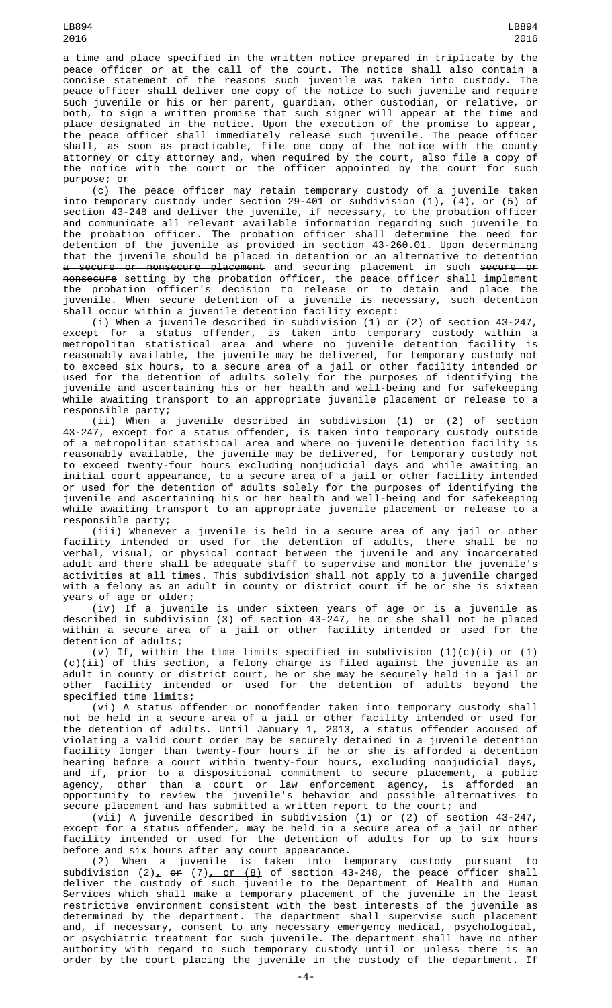a time and place specified in the written notice prepared in triplicate by the peace officer or at the call of the court. The notice shall also contain a concise statement of the reasons such juvenile was taken into custody. The peace officer shall deliver one copy of the notice to such juvenile and require such juvenile or his or her parent, guardian, other custodian, or relative, or both, to sign a written promise that such signer will appear at the time and place designated in the notice. Upon the execution of the promise to appear, the peace officer shall immediately release such juvenile. The peace officer shall, as soon as practicable, file one copy of the notice with the county attorney or city attorney and, when required by the court, also file a copy of the notice with the court or the officer appointed by the court for such purpose; or

(c) The peace officer may retain temporary custody of a juvenile taken into temporary custody under section 29-401 or subdivision (1), (4), or (5) of section 43-248 and deliver the juvenile, if necessary, to the probation officer and communicate all relevant available information regarding such juvenile to the probation officer. The probation officer shall determine the need for detention of the juvenile as provided in section 43-260.01. Upon determining that the juvenile should be placed in detention or an alternative to detention <del>a secure or nonsecure placement</del> and securing placement in such <del>secure or</del> nonsecure setting by the probation officer, the peace officer shall implement the probation officer's decision to release or to detain and place the juvenile. When secure detention of a juvenile is necessary, such detention shall occur within a juvenile detention facility except:

(i) When a juvenile described in subdivision (1) or (2) of section 43-247, except for a status offender, is taken into temporary custody within a metropolitan statistical area and where no juvenile detention facility is reasonably available, the juvenile may be delivered, for temporary custody not to exceed six hours, to a secure area of a jail or other facility intended or used for the detention of adults solely for the purposes of identifying the juvenile and ascertaining his or her health and well-being and for safekeeping while awaiting transport to an appropriate juvenile placement or release to a responsible party;

(ii) When a juvenile described in subdivision (1) or (2) of section 43-247, except for a status offender, is taken into temporary custody outside of a metropolitan statistical area and where no juvenile detention facility is reasonably available, the juvenile may be delivered, for temporary custody not to exceed twenty-four hours excluding nonjudicial days and while awaiting an initial court appearance, to a secure area of a jail or other facility intended or used for the detention of adults solely for the purposes of identifying the juvenile and ascertaining his or her health and well-being and for safekeeping while awaiting transport to an appropriate juvenile placement or release to a responsible party;

(iii) Whenever a juvenile is held in a secure area of any jail or other facility intended or used for the detention of adults, there shall be no verbal, visual, or physical contact between the juvenile and any incarcerated adult and there shall be adequate staff to supervise and monitor the juvenile's activities at all times. This subdivision shall not apply to a juvenile charged with a felony as an adult in county or district court if he or she is sixteen years of age or older;

(iv) If a juvenile is under sixteen years of age or is a juvenile as described in subdivision (3) of section 43-247, he or she shall not be placed within a secure area of a jail or other facility intended or used for the detention of adults;

(v) If, within the time limits specified in subdivision  $(1)(c)(i)$  or  $(1)$ (c)(ii) of this section, a felony charge is filed against the juvenile as an adult in county or district court, he or she may be securely held in a jail or other facility intended or used for the detention of adults beyond the specified time limits;

(vi) A status offender or nonoffender taken into temporary custody shall not be held in a secure area of a jail or other facility intended or used for the detention of adults. Until January 1, 2013, a status offender accused of violating a valid court order may be securely detained in a juvenile detention facility longer than twenty-four hours if he or she is afforded a detention hearing before a court within twenty-four hours, excluding nonjudicial days, and if, prior to a dispositional commitment to secure placement, a public agency, other than a court or law enforcement agency, is afforded an opportunity to review the juvenile's behavior and possible alternatives to secure placement and has submitted a written report to the court; and

(vii) A juvenile described in subdivision (1) or (2) of section 43-247, except for a status offender, may be held in a secure area of a jail or other facility intended or used for the detention of adults for up to six hours before and six hours after any court appearance.

(2) When a juvenile is taken into temporary custody pursuant to subdivision (2),  $\overline{\text{or}}$  (7),  $\overline{\text{or}}$  (8) of section 43-248, the peace officer shall deliver the custody of such juvenile to the Department of Health and Human Services which shall make a temporary placement of the juvenile in the least restrictive environment consistent with the best interests of the juvenile as determined by the department. The department shall supervise such placement and, if necessary, consent to any necessary emergency medical, psychological, or psychiatric treatment for such juvenile. The department shall have no other authority with regard to such temporary custody until or unless there is an order by the court placing the juvenile in the custody of the department. If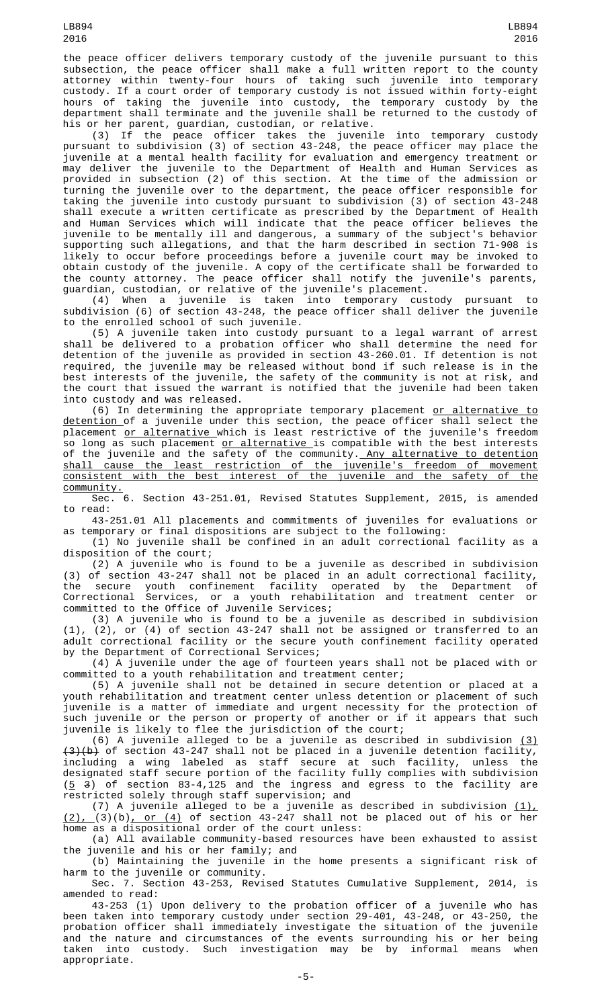the peace officer delivers temporary custody of the juvenile pursuant to this subsection, the peace officer shall make a full written report to the county attorney within twenty-four hours of taking such juvenile into temporary custody. If a court order of temporary custody is not issued within forty-eight hours of taking the juvenile into custody, the temporary custody by the department shall terminate and the juvenile shall be returned to the custody of his or her parent, guardian, custodian, or relative.

(3) If the peace officer takes the juvenile into temporary custody pursuant to subdivision (3) of section 43-248, the peace officer may place the juvenile at a mental health facility for evaluation and emergency treatment or may deliver the juvenile to the Department of Health and Human Services as provided in subsection (2) of this section. At the time of the admission or turning the juvenile over to the department, the peace officer responsible for taking the juvenile into custody pursuant to subdivision (3) of section 43-248 shall execute a written certificate as prescribed by the Department of Health and Human Services which will indicate that the peace officer believes the juvenile to be mentally ill and dangerous, a summary of the subject's behavior supporting such allegations, and that the harm described in section 71-908 is likely to occur before proceedings before a juvenile court may be invoked to obtain custody of the juvenile. A copy of the certificate shall be forwarded to the county attorney. The peace officer shall notify the juvenile's parents, guardian, custodian, or relative of the juvenile's placement.

(4) When a juvenile is taken into temporary custody pursuant to subdivision (6) of section 43-248, the peace officer shall deliver the juvenile to the enrolled school of such juvenile.

(5) A juvenile taken into custody pursuant to a legal warrant of arrest shall be delivered to a probation officer who shall determine the need for detention of the juvenile as provided in section 43-260.01. If detention is not required, the juvenile may be released without bond if such release is in the best interests of the juvenile, the safety of the community is not at risk, and the court that issued the warrant is notified that the juvenile had been taken into custody and was released.

(6) In determining the appropriate temporary placement <u>or alternative to</u> <u>detention </u>of a juvenile under this section, the peace officer shall select the placement <u>or alternative </u>which is least restrictive of the juvenile's freedom so long as such placement <u>or alternative </u>is compatible with the best interests of the juvenile and the safety of the community. Any alternative to detention shall cause the least restriction of the juvenile's freedom of movement consistent with the best interest of the juvenile and the safety of the community.

Sec. 6. Section 43-251.01, Revised Statutes Supplement, 2015, is amended to read:

43-251.01 All placements and commitments of juveniles for evaluations or as temporary or final dispositions are subject to the following:

(1) No juvenile shall be confined in an adult correctional facility as a disposition of the court;

(2) A juvenile who is found to be a juvenile as described in subdivision (3) of section 43-247 shall not be placed in an adult correctional facility, the secure youth confinement facility operated by the Department of Correctional Services, or a youth rehabilitation and treatment center or committed to the Office of Juvenile Services;

(3) A juvenile who is found to be a juvenile as described in subdivision (1), (2), or (4) of section 43-247 shall not be assigned or transferred to an adult correctional facility or the secure youth confinement facility operated by the Department of Correctional Services;

(4) A juvenile under the age of fourteen years shall not be placed with or committed to a youth rehabilitation and treatment center;

(5) A juvenile shall not be detained in secure detention or placed at a youth rehabilitation and treatment center unless detention or placement of such juvenile is a matter of immediate and urgent necessity for the protection of such juvenile or the person or property of another or if it appears that such juvenile is likely to flee the jurisdiction of the court;

(6) A juvenile alleged to be a juvenile as described in subdivision  $(3)$  $(3)(b)$  of section 43-247 shall not be placed in a juvenile detention facility, including a wing labeled as staff secure at such facility, unless the designated staff secure portion of the facility fully complies with subdivision  $(5, 3)$  of section 83-4,125 and the ingress and egress to the facility are restricted solely through staff supervision; and

(7) A juvenile alleged to be a juvenile as described in subdivision  $(1)_r$ (2), (3)(b), or (4) of section 43-247 shall not be placed out of his or her home as a dispositional order of the court unless:

(a) All available community-based resources have been exhausted to assist the juvenile and his or her family; and

(b) Maintaining the juvenile in the home presents a significant risk of harm to the juvenile or community.

Sec. 7. Section 43-253, Revised Statutes Cumulative Supplement, 2014, is amended to read:

43-253 (1) Upon delivery to the probation officer of a juvenile who has been taken into temporary custody under section 29-401, 43-248, or 43-250, the probation officer shall immediately investigate the situation of the juvenile and the nature and circumstances of the events surrounding his or her being taken into custody. Such investigation may be by informal means when appropriate.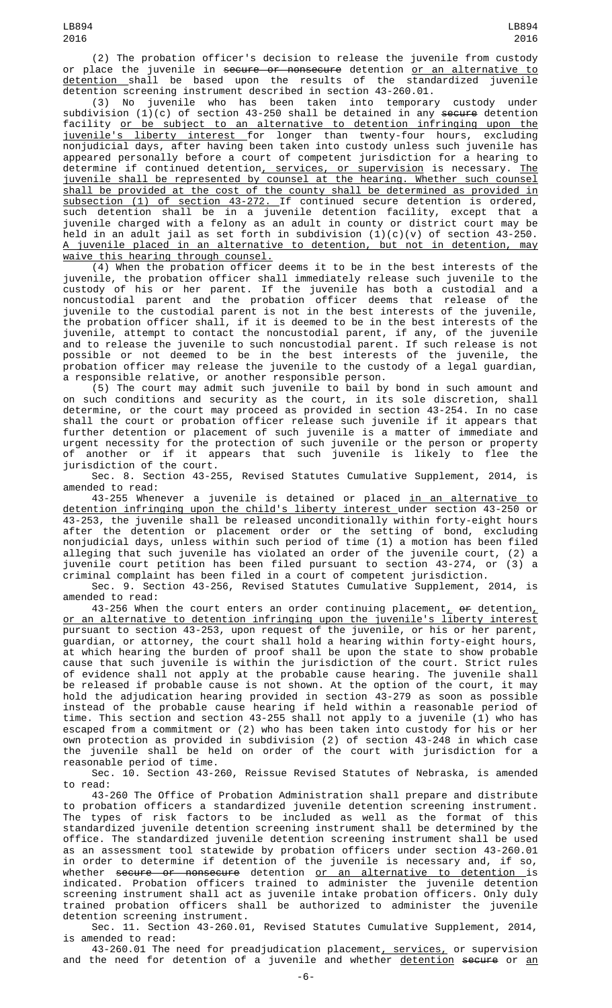(2) The probation officer's decision to release the juvenile from custody or place the juvenile in <del>secure or nonsecure</del> detention <u>or an alternative to</u> <u>detention s</u>hall be based upon the results of the standardized juvenile detention screening instrument described in section 43-260.01.

(3) No juvenile who has been taken into temporary custody under subdivision (1)(c) of section 43-250 shall be detained in any <del>secure</del> detention facility or be subject to an alternative to detention infringing upon the juvenile's liberty interest for longer than twenty-four hours, excluding nonjudicial days, after having been taken into custody unless such juvenile has appeared personally before a court of competent jurisdiction for a hearing to determine if continued detention<u>, services, or supervision</u> is necessary. <u>The</u> juvenile shall be represented by counsel at the hearing. Whether such counsel shall be provided at the cost of the county shall be determined as provided in subsection (1) of section 43-272. If continued secure detention is ordered, such detention shall be in a juvenile detention facility, except that a juvenile charged with a felony as an adult in county or district court may be held in an adult jail as set forth in subdivision  $(1)(c)(v)$  of section 43-250. A juvenile placed in an alternative to detention, but not in detention, may waive this hearing through counsel.

(4) When the probation officer deems it to be in the best interests of the juvenile, the probation officer shall immediately release such juvenile to the custody of his or her parent. If the juvenile has both a custodial and a noncustodial parent and the probation officer deems that release of the juvenile to the custodial parent is not in the best interests of the juvenile, the probation officer shall, if it is deemed to be in the best interests of the juvenile, attempt to contact the noncustodial parent, if any, of the juvenile and to release the juvenile to such noncustodial parent. If such release is not possible or not deemed to be in the best interests of the juvenile, the probation officer may release the juvenile to the custody of a legal guardian, a responsible relative, or another responsible person.

(5) The court may admit such juvenile to bail by bond in such amount and on such conditions and security as the court, in its sole discretion, shall determine, or the court may proceed as provided in section 43-254. In no case shall the court or probation officer release such juvenile if it appears that further detention or placement of such juvenile is a matter of immediate and urgent necessity for the protection of such juvenile or the person or property of another or if it appears that such juvenile is likely to flee the jurisdiction of the court.

Sec. 8. Section 43-255, Revised Statutes Cumulative Supplement, 2014, is amended to read:

43-255 Whenever a juvenile is detained or placed <u>in an alternative to</u> detention infringing upon the child's liberty interest under section 43-250 or 43-253, the juvenile shall be released unconditionally within forty-eight hours after the detention or placement order or the setting of bond, excluding nonjudicial days, unless within such period of time (1) a motion has been filed alleging that such juvenile has violated an order of the juvenile court, (2) a juvenile court petition has been filed pursuant to section 43-274, or (3) a criminal complaint has been filed in a court of competent jurisdiction.

Sec. 9. Section 43-256, Revised Statutes Cumulative Supplement, 2014, is amended to read:

43-256 When the court enters an order continuing placement,  $\mathsf{or}$  detention, or an alternative to detention infringing upon the juvenile's liberty interest pursuant to section 43-253, upon request of the juvenile, or his or her parent, guardian, or attorney, the court shall hold a hearing within forty-eight hours, at which hearing the burden of proof shall be upon the state to show probable cause that such juvenile is within the jurisdiction of the court. Strict rules of evidence shall not apply at the probable cause hearing. The juvenile shall be released if probable cause is not shown. At the option of the court, it may hold the adjudication hearing provided in section 43-279 as soon as possible instead of the probable cause hearing if held within a reasonable period of time. This section and section 43-255 shall not apply to a juvenile (1) who has escaped from a commitment or (2) who has been taken into custody for his or her own protection as provided in subdivision (2) of section 43-248 in which case the juvenile shall be held on order of the court with jurisdiction for a reasonable period of time.

Sec. 10. Section 43-260, Reissue Revised Statutes of Nebraska, is amended to read:

43-260 The Office of Probation Administration shall prepare and distribute to probation officers a standardized juvenile detention screening instrument. The types of risk factors to be included as well as the format of this standardized juvenile detention screening instrument shall be determined by the office. The standardized juvenile detention screening instrument shall be used as an assessment tool statewide by probation officers under section 43-260.01 in order to determine if detention of the juvenile is necessary and, if so, whether <del>secure or nonsecure</del> detention <u>or an alternative to detention i</u>s indicated. Probation officers trained to administer the juvenile detention screening instrument shall act as juvenile intake probation officers. Only duly trained probation officers shall be authorized to administer the juvenile detention screening instrument.

Sec. 11. Section 43-260.01, Revised Statutes Cumulative Supplement, 2014, is amended to read:

43-260.01 The need for preadjudication placement, services, or supervision and the need for detention of a juvenile and whether detention secure or an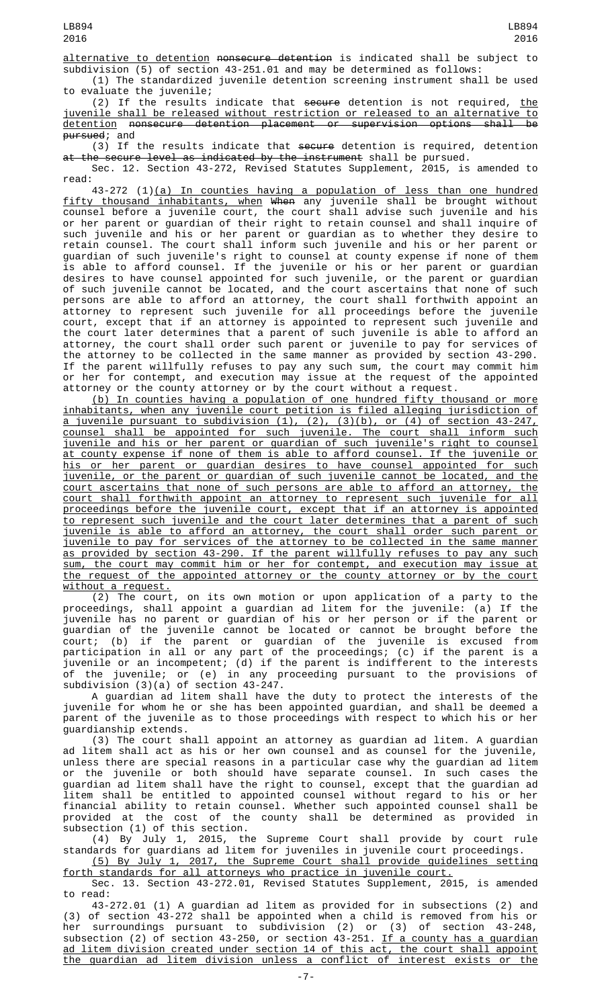alternative to detention nonsecure detention is indicated shall be subject to subdivision (5) of section 43-251.01 and may be determined as follows: (1) The standardized juvenile detention screening instrument shall be used

to evaluate the juvenile;

(2) If the results indicate that <del>secure</del> detention is not required, <u>the</u> juvenile shall be released without restriction or released to an alternative to detention nonsecure detention placement or supervision options shall be <del>pursued</del>; and

(3) If the results indicate that secure detention is required, detention at the secure level as indicated by the instrument shall be pursued.

Sec. 12. Section 43-272, Revised Statutes Supplement, 2015, is amended to read:

43-272 (1)(a) In counties having a population of less than one hundred fifty thousand inhabitants, when When any juvenile shall be brought without counsel before a juvenile court, the court shall advise such juvenile and his or her parent or guardian of their right to retain counsel and shall inquire of such juvenile and his or her parent or guardian as to whether they desire to retain counsel. The court shall inform such juvenile and his or her parent or guardian of such juvenile's right to counsel at county expense if none of them is able to afford counsel. If the juvenile or his or her parent or guardian desires to have counsel appointed for such juvenile, or the parent or guardian of such juvenile cannot be located, and the court ascertains that none of such persons are able to afford an attorney, the court shall forthwith appoint an attorney to represent such juvenile for all proceedings before the juvenile court, except that if an attorney is appointed to represent such juvenile and the court later determines that a parent of such juvenile is able to afford an attorney, the court shall order such parent or juvenile to pay for services of the attorney to be collected in the same manner as provided by section 43-290. If the parent willfully refuses to pay any such sum, the court may commit him or her for contempt, and execution may issue at the request of the appointed attorney or the county attorney or by the court without a request.

(b) In counties having a population of one hundred fifty thousand or more inhabitants, when any juvenile court petition is filed alleging jurisdiction of a juvenile pursuant to subdivision (1), (2), (3)(b), or (4) of section 43-247, counsel shall be appointed for such juvenile. The court shall inform such juvenile and his or her parent or guardian of such juvenile's right to counsel at county expense if none of them is able to afford counsel. If the juvenile or his or her parent or guardian desires to have counsel appointed for such juvenile, or the parent or guardian of such juvenile cannot be located, and the court ascertains that none of such persons are able to afford an attorney, the court shall forthwith appoint an attorney to represent such juvenile for all proceedings before the juvenile court, except that if an attorney is appointed to represent such juvenile and the court later determines that a parent of such juvenile is able to afford an attorney, the court shall order such parent or juvenile to pay for services of the attorney to be collected in the same manner as provided by section 43-290. If the parent willfully refuses to pay any such sum, the court may commit him or her for contempt, and execution may issue at the request of the appointed attorney or the county attorney or by the court without a request.

(2) The court, on its own motion or upon application of a party to the proceedings, shall appoint a guardian ad litem for the juvenile: (a) If the proceedings, shall appoint a guardian ad litem for the juvenile: (a) If the juvenile has no parent or guardian of his or her person or if the parent or guardian of the juvenile cannot be located or cannot be brought before the court; (b) if the parent or guardian of the juvenile is excused from participation in all or any part of the proceedings; (c) if the parent is a juvenile or an incompetent; (d) if the parent is indifferent to the interests of the juvenile; or (e) in any proceeding pursuant to the provisions of subdivision (3)(a) of section 43-247.

A guardian ad litem shall have the duty to protect the interests of the juvenile for whom he or she has been appointed guardian, and shall be deemed a parent of the juvenile as to those proceedings with respect to which his or her guardianship extends.

(3) The court shall appoint an attorney as guardian ad litem. A guardian ad litem shall act as his or her own counsel and as counsel for the juvenile, unless there are special reasons in a particular case why the guardian ad litem or the juvenile or both should have separate counsel. In such cases the guardian ad litem shall have the right to counsel, except that the guardian ad litem shall be entitled to appointed counsel without regard to his or her financial ability to retain counsel. Whether such appointed counsel shall be provided at the cost of the county shall be determined as provided in subsection (1) of this section.

(4) By July 1, 2015, the Supreme Court shall provide by court rule standards for guardians ad litem for juveniles in juvenile court proceedings.

(5) By July 1, 2017, the Supreme Court shall provide guidelines setting forth standards for all attorneys who practice in juvenile court.

Sec. 13. Section 43-272.01, Revised Statutes Supplement, 2015, is amended to read:

43-272.01 (1) A guardian ad litem as provided for in subsections (2) and (3) of section 43-272 shall be appointed when a child is removed from his or her surroundings pursuant to subdivision (2) or (3) of section 43-248, subsection (2) of section 43-250, or section 43-251. <u>If a county has a guardian</u> ad litem division created under section 14 of this act, the court shall appoint the guardian ad litem division unless a conflict of interest exists or the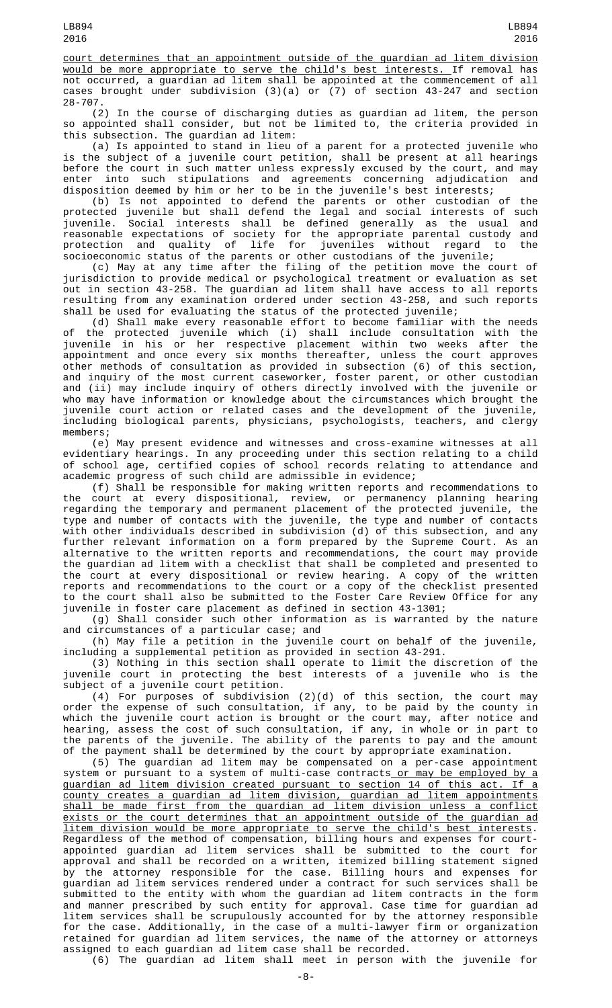(2) In the course of discharging duties as guardian ad litem, the person so appointed shall consider, but not be limited to, the criteria provided in this subsection. The guardian ad litem:

(a) Is appointed to stand in lieu of a parent for a protected juvenile who is the subject of a juvenile court petition, shall be present at all hearings before the court in such matter unless expressly excused by the court, and may enter into such stipulations and agreements concerning adjudication and disposition deemed by him or her to be in the juvenile's best interests;

(b) Is not appointed to defend the parents or other custodian of the protected juvenile but shall defend the legal and social interests of such juvenile. Social interests shall be defined generally as the usual and reasonable expectations of society for the appropriate parental custody and protection and quality of life for juveniles without regard to the socioeconomic status of the parents or other custodians of the juvenile;

(c) May at any time after the filing of the petition move the court of jurisdiction to provide medical or psychological treatment or evaluation as set out in section 43-258. The guardian ad litem shall have access to all reports resulting from any examination ordered under section 43-258, and such reports shall be used for evaluating the status of the protected juvenile;

(d) Shall make every reasonable effort to become familiar with the needs of the protected juvenile which (i) shall include consultation with the juvenile in his or her respective placement within two weeks after the appointment and once every six months thereafter, unless the court approves other methods of consultation as provided in subsection (6) of this section, and inquiry of the most current caseworker, foster parent, or other custodian and (ii) may include inquiry of others directly involved with the juvenile or who may have information or knowledge about the circumstances which brought the juvenile court action or related cases and the development of the juvenile, including biological parents, physicians, psychologists, teachers, and clergy members;

(e) May present evidence and witnesses and cross-examine witnesses at all evidentiary hearings. In any proceeding under this section relating to a child of school age, certified copies of school records relating to attendance and academic progress of such child are admissible in evidence;

(f) Shall be responsible for making written reports and recommendations to the court at every dispositional, review, or permanency planning hearing regarding the temporary and permanent placement of the protected juvenile, the type and number of contacts with the juvenile, the type and number of contacts with other individuals described in subdivision (d) of this subsection, and any further relevant information on a form prepared by the Supreme Court. As an alternative to the written reports and recommendations, the court may provide the guardian ad litem with a checklist that shall be completed and presented to the court at every dispositional or review hearing. A copy of the written reports and recommendations to the court or a copy of the checklist presented to the court shall also be submitted to the Foster Care Review Office for any juvenile in foster care placement as defined in section 43-1301;

(g) Shall consider such other information as is warranted by the nature and circumstances of a particular case; and

(h) May file a petition in the juvenile court on behalf of the juvenile, including a supplemental petition as provided in section 43-291.

(3) Nothing in this section shall operate to limit the discretion of the juvenile court in protecting the best interests of a juvenile who is the subject of a juvenile court petition.

(4) For purposes of subdivision (2)(d) of this section, the court may order the expense of such consultation, if any, to be paid by the county in which the juvenile court action is brought or the court may, after notice and hearing, assess the cost of such consultation, if any, in whole or in part to the parents of the juvenile. The ability of the parents to pay and the amount of the payment shall be determined by the court by appropriate examination.

(5) The guardian ad litem may be compensated on a per-case appointment system or pursuant to a system of multi-case contracts<u> or may be employed by a</u> guardian ad litem division created pursuant to section 14 of this act. If a county creates a guardian ad litem division, guardian ad litem appointments shall be made first from the guardian ad litem division unless a conflict exists or the court determines that an appointment outside of the guardian ad litem division would be more appropriate to serve the child's best interests. Regardless of the method of compensation, billing hours and expenses for courtappointed guardian ad litem services shall be submitted to the court for approval and shall be recorded on a written, itemized billing statement signed by the attorney responsible for the case. Billing hours and expenses for guardian ad litem services rendered under a contract for such services shall be submitted to the entity with whom the guardian ad litem contracts in the form and manner prescribed by such entity for approval. Case time for guardian ad litem services shall be scrupulously accounted for by the attorney responsible for the case. Additionally, in the case of a multi-lawyer firm or organization retained for guardian ad litem services, the name of the attorney or attorneys assigned to each guardian ad litem case shall be recorded.

(6) The guardian ad litem shall meet in person with the juvenile for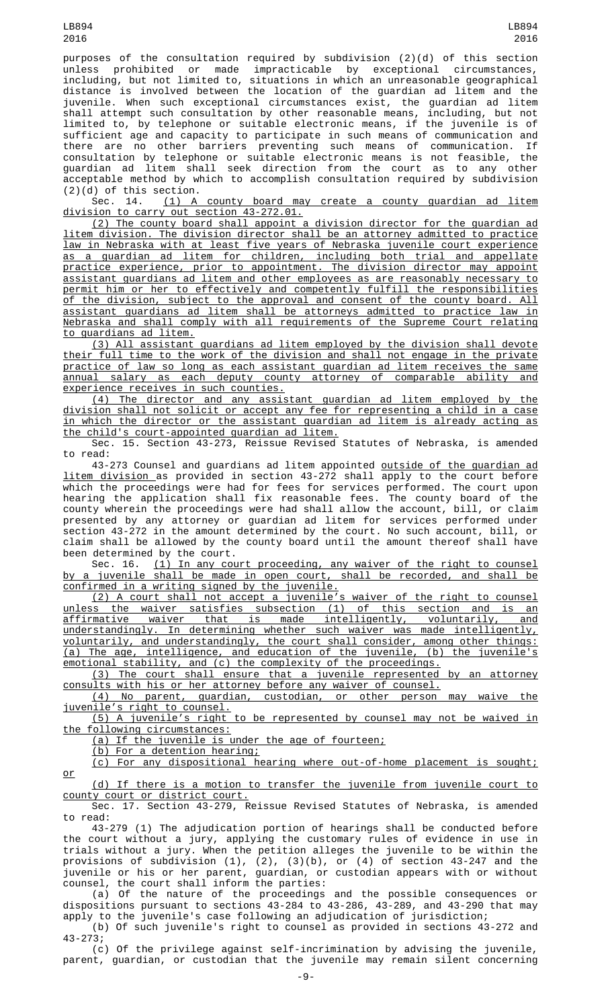LB894 2016

purposes of the consultation required by subdivision (2)(d) of this section unless prohibited or made impracticable by exceptional circumstances, including, but not limited to, situations in which an unreasonable geographical distance is involved between the location of the guardian ad litem and the juvenile. When such exceptional circumstances exist, the guardian ad litem shall attempt such consultation by other reasonable means, including, but not limited to, by telephone or suitable electronic means, if the juvenile is of sufficient age and capacity to participate in such means of communication and there are no other barriers preventing such means of communication. If consultation by telephone or suitable electronic means is not feasible, the guardian ad litem shall seek direction from the court as to any other acceptable method by which to accomplish consultation required by subdivision (2)(d) of this section.

Sec. 14. (1) A county board may create a county guardian ad litem division to carry out section 43-272.01.

(2) The county board shall appoint a division director for the guardian ad litem division. The division director shall be an attorney admitted to practice law in Nebraska with at least five years of Nebraska juvenile court experience as a guardian ad litem for children, including both trial and appellate practice experience, prior to appointment. The division director may appoint assistant guardians ad litem and other employees as are reasonably necessary to permit him or her to effectively and competently fulfill the responsibilities of the division, subject to the approval and consent of the county board. All assistant guardians ad litem shall be attorneys admitted to practice law in Nebraska and shall comply with all requirements of the Supreme Court relating to guardians ad litem.

(3) All assistant guardians ad litem employed by the division shall devote their full time to the work of the division and shall not engage in the private practice of law so long as each assistant guardian ad litem receives the same<br>annual salary as each deputy county attorney of comparable ability and annual salary as each deputy county attorney of experience receives in such counties.

(4) The director and any assistant guardian ad litem employed by the division shall not solicit or accept any fee for representing a child in a case in which the director or the assistant guardian ad litem is already acting as the child's court-appointed guardian ad litem.

Sec. 15. Section 43-273, Reissue Revised Statutes of Nebraska, is amended to read:

43-273 Counsel and guardians ad litem appointed <u>outside of the guardian ad</u> litem division as provided in section 43-272 shall apply to the court before which the proceedings were had for fees for services performed. The court upon hearing the application shall fix reasonable fees. The county board of the county wherein the proceedings were had shall allow the account, bill, or claim presented by any attorney or guardian ad litem for services performed under section 43-272 in the amount determined by the court. No such account, bill, or claim shall be allowed by the county board until the amount thereof shall have been determined by the court.

Sec. 16. (1) In any court proceeding, any waiver of the right to counsel by a juvenile shall be made in open court, shall be recorded, and shall be confirmed in a writing signed by the juvenile.

(2) A court shall not accept a juvenile's waiver of the right to counsel unless the waiver satisfies subsection (1) of this section and is an affirmative waiver that is made intelligently, voluntarily, and understandingly. In determining whether such waiver was made intelligently, voluntarily, and understandingly, the court shall consider, among other things: (a) The age, intelligence, and education of the juvenile, (b) the juvenile's emotional stability, and (c) the complexity of the proceedings.

(3) The court shall ensure that a juvenile represented by an attorney consults with his or her attorney before any waiver of counsel.

(4) No parent, guardian, custodian, or other person may waive the juvenile's right to counsel.

(5) A juvenile's right to be represented by counsel may not be waived in the following circumstances:

(a) If the juvenile is under the age of fourteen;

(b) For a detention hearing;

(c) For any dispositional hearing where out-of-home placement is sought; or

(d) If there is a motion to transfer the juvenile from juvenile court to county court or district court.

Sec. 17. Section 43-279, Reissue Revised Statutes of Nebraska, is amended to read:

43-279 (1) The adjudication portion of hearings shall be conducted before the court without a jury, applying the customary rules of evidence in use in trials without a jury. When the petition alleges the juvenile to be within the provisions of subdivision (1), (2), (3)(b), or (4) of section 43-247 and the juvenile or his or her parent, guardian, or custodian appears with or without counsel, the court shall inform the parties:

(a) Of the nature of the proceedings and the possible consequences or dispositions pursuant to sections 43-284 to 43-286, 43-289, and 43-290 that may apply to the juvenile's case following an adjudication of jurisdiction;

(b) Of such juvenile's right to counsel as provided in sections 43-272 and 43-273;

(c) Of the privilege against self-incrimination by advising the juvenile, parent, guardian, or custodian that the juvenile may remain silent concerning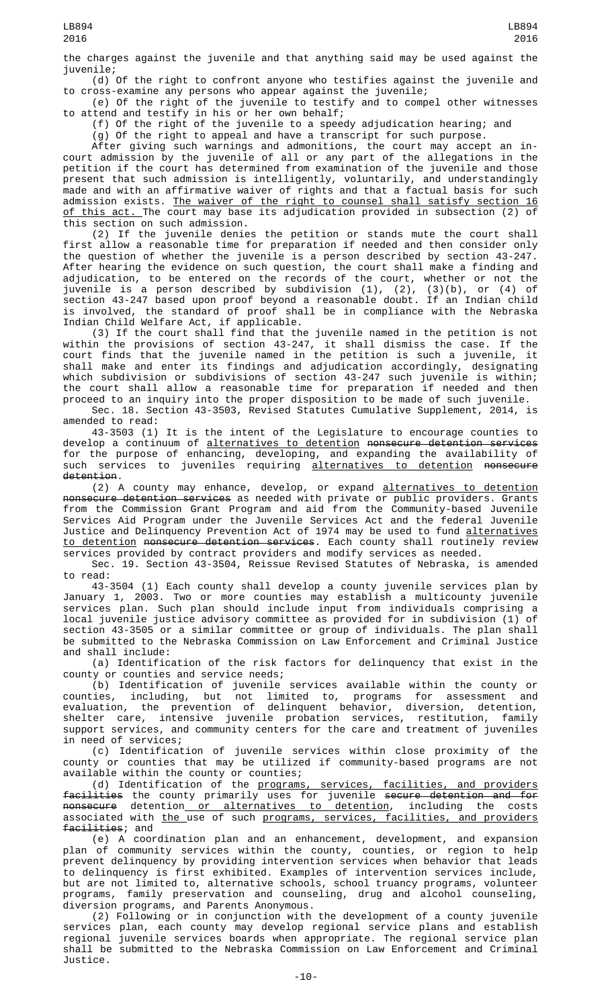the charges against the juvenile and that anything said may be used against the juvenile;

(d) Of the right to confront anyone who testifies against the juvenile and to cross-examine any persons who appear against the juvenile;

(e) Of the right of the juvenile to testify and to compel other witnesses to attend and testify in his or her own behalf;

(f) Of the right of the juvenile to a speedy adjudication hearing; and

(g) Of the right to appeal and have a transcript for such purpose.

After giving such warnings and admonitions, the court may accept an incourt admission by the juvenile of all or any part of the allegations in the petition if the court has determined from examination of the juvenile and those present that such admission is intelligently, voluntarily, and understandingly made and with an affirmative waiver of rights and that a factual basis for such admission exists. <u>The waiver of the right to counsel shall satisfy section 16</u> <u>of this act. </u>The court may base its adjudication provided in subsection (2) of this section on such admission.

(2) If the juvenile denies the petition or stands mute the court shall first allow a reasonable time for preparation if needed and then consider only the question of whether the juvenile is a person described by section 43-247. After hearing the evidence on such question, the court shall make a finding and adjudication, to be entered on the records of the court, whether or not the juvenile is a person described by subdivision (1), (2), (3)(b), or (4) of section 43-247 based upon proof beyond a reasonable doubt. If an Indian child is involved, the standard of proof shall be in compliance with the Nebraska Indian Child Welfare Act, if applicable.

(3) If the court shall find that the juvenile named in the petition is not within the provisions of section 43-247, it shall dismiss the case. If the court finds that the juvenile named in the petition is such a juvenile, it shall make and enter its findings and adjudication accordingly, designating which subdivision or subdivisions of section 43-247 such juvenile is within; the court shall allow a reasonable time for preparation if needed and then proceed to an inquiry into the proper disposition to be made of such juvenile.

Sec. 18. Section 43-3503, Revised Statutes Cumulative Supplement, 2014, is amended to read:

43-3503 (1) It is the intent of the Legislature to encourage counties to develop a continuum of <u>alternatives to detention</u> <del>nonsecure detention services</del> for the purpose of enhancing, developing, and expanding the availability of such services to juveniles requiring alternatives to detention nonsecure detention.

(2) A county may enhance, develop, or expand alternatives to detention nonsecure detention services as needed with private or public providers. Grants from the Commission Grant Program and aid from the Community-based Juvenile Services Aid Program under the Juvenile Services Act and the federal Juvenile Justice and Delinquency Prevention Act of 1974 may be used to fund alternatives <u>to detention</u> <del>nonsecure detention services</del>. Each county shall routinely review services provided by contract providers and modify services as needed.

Sec. 19. Section 43-3504, Reissue Revised Statutes of Nebraska, is amended to read:

43-3504 (1) Each county shall develop a county juvenile services plan by January 1, 2003. Two or more counties may establish a multicounty juvenile services plan. Such plan should include input from individuals comprising a local juvenile justice advisory committee as provided for in subdivision (1) of section 43-3505 or a similar committee or group of individuals. The plan shall be submitted to the Nebraska Commission on Law Enforcement and Criminal Justice and shall include:

(a) Identification of the risk factors for delinquency that exist in the county or counties and service needs;

(b) Identification of juvenile services available within the county or counties, including, but not limited to, programs for assessment and evaluation, the prevention of delinquent behavior, diversion, detention, shelter care, intensive juvenile probation services, restitution, family support services, and community centers for the care and treatment of juveniles in need of services;

(c) Identification of juvenile services within close proximity of the county or counties that may be utilized if community-based programs are not available within the county or counties;

(d) Identification of the programs, services, facilities, and providers facilities the county primarily uses for juvenile secure detention and for <del>nonsecure</del> detention<u> or alternatives to detention</u>, including the costs associated with the use of such programs, services, facilities, and providers facilities; and

(e) A coordination plan and an enhancement, development, and expansion plan of community services within the county, counties, or region to help prevent delinquency by providing intervention services when behavior that leads to delinquency is first exhibited. Examples of intervention services include, but are not limited to, alternative schools, school truancy programs, volunteer programs, family preservation and counseling, drug and alcohol counseling, diversion programs, and Parents Anonymous.

(2) Following or in conjunction with the development of a county juvenile services plan, each county may develop regional service plans and establish regional juvenile services boards when appropriate. The regional service plan shall be submitted to the Nebraska Commission on Law Enforcement and Criminal Justice.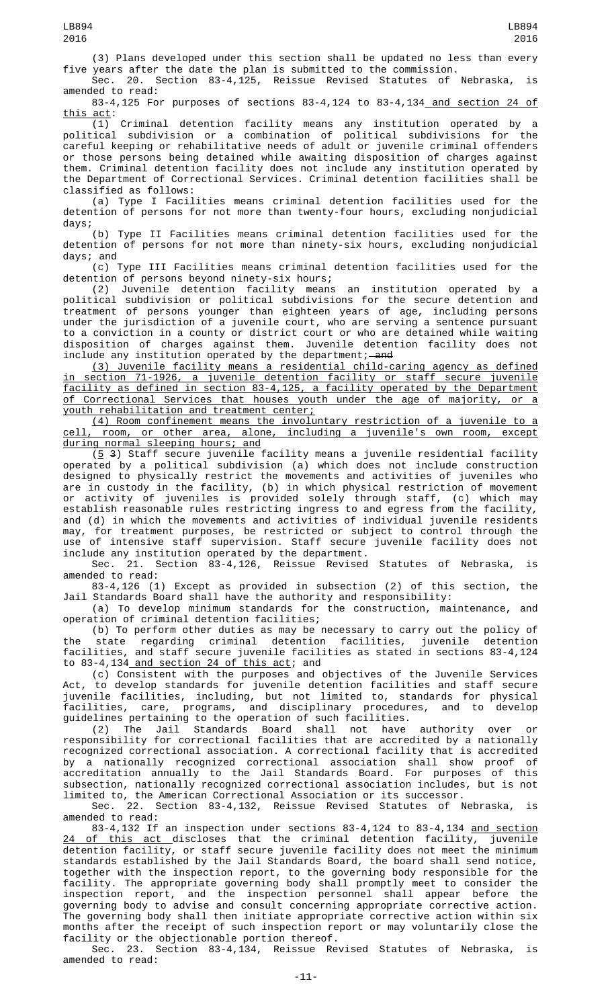(3) Plans developed under this section shall be updated no less than every five years after the date the plan is submitted to the commission.

Sec. 20. Section 83-4,125, Reissue Revised Statutes of Nebraska, is amended to read:

83-4,125 For purposes of sections 83-4,124 to 83-4,134 and section 24 of this act:

(1) Criminal detention facility means any institution operated by a political subdivision or a combination of political subdivisions for the careful keeping or rehabilitative needs of adult or juvenile criminal offenders or those persons being detained while awaiting disposition of charges against them. Criminal detention facility does not include any institution operated by the Department of Correctional Services. Criminal detention facilities shall be classified as follows:

(a) Type I Facilities means criminal detention facilities used for the detention of persons for not more than twenty-four hours, excluding nonjudicial days;

(b) Type II Facilities means criminal detention facilities used for the detention of persons for not more than ninety-six hours, excluding nonjudicial days; and

(c) Type III Facilities means criminal detention facilities used for the detention of persons beyond ninety-six hours;

(2) Juvenile detention facility means an institution operated by a political subdivision or political subdivisions for the secure detention and treatment of persons younger than eighteen years of age, including persons under the jurisdiction of a juvenile court, who are serving a sentence pursuant to a conviction in a county or district court or who are detained while waiting disposition of charges against them. Juvenile detention facility does not include any institution operated by the department;—<del>and</del>

(3) Juvenile facility means a residential child-caring agency as defined in section 71-1926, a juvenile detention facility or staff secure juvenile facility as defined in section 83-4,125, a facility operated by the Department of Correctional Services that houses youth under the age of majority, or a youth rehabilitation and treatment center;

(4) Room confinement means the involuntary restriction of a juvenile to a cell, room, or other area, alone, including a juvenile's own room, except during normal sleeping hours; and

 $(5 3)$  Staff secure juvenile facility means a juvenile residential facility operated by a political subdivision (a) which does not include construction designed to physically restrict the movements and activities of juveniles who are in custody in the facility, (b) in which physical restriction of movement or activity of juveniles is provided solely through staff, (c) which may establish reasonable rules restricting ingress to and egress from the facility, and (d) in which the movements and activities of individual juvenile residents may, for treatment purposes, be restricted or subject to control through the use of intensive staff supervision. Staff secure juvenile facility does not include any institution operated by the department.<br>Sec. 21. Section 83-4,126, Reissue Revised

Reissue Revised Statutes of Nebraska, is amended to read:

83-4,126 (1) Except as provided in subsection (2) of this section, the Jail Standards Board shall have the authority and responsibility:

(a) To develop minimum standards for the construction, maintenance, and operation of criminal detention facilities;

(b) To perform other duties as may be necessary to carry out the policy of the state regarding criminal detention facilities, juvenile detention facilities, and staff secure juvenile facilities as stated in sections 83-4,124 to 83-4,134 and section 24 of this act; and

(c) Consistent with the purposes and objectives of the Juvenile Services Act, to develop standards for juvenile detention facilities and staff secure juvenile facilities, including, but not limited to, standards for physical facilities, care, programs, and disciplinary procedures, and to develop guidelines pertaining to the operation of such facilities.

(2) The Jail Standards Board shall not have authority over or responsibility for correctional facilities that are accredited by a nationally recognized correctional association. A correctional facility that is accredited by a nationally recognized correctional association shall show proof of accreditation annually to the Jail Standards Board. For purposes of this subsection, nationally recognized correctional association includes, but is not limited to, the American Correctional Association or its successor.

Sec. 22. Section 83-4,132, Reissue Revised Statutes of Nebraska, is amended to read:

83-4,132 If an inspection under sections 83-4,124 to 83-4,134 and section <u>24 of this act d</u>iscloses that the criminal detention facility, juvenile detention facility, or staff secure juvenile facility does not meet the minimum standards established by the Jail Standards Board, the board shall send notice, together with the inspection report, to the governing body responsible for the facility. The appropriate governing body shall promptly meet to consider the inspection report, and the inspection personnel shall appear before the governing body to advise and consult concerning appropriate corrective action. The governing body shall then initiate appropriate corrective action within six months after the receipt of such inspection report or may voluntarily close the facility or the objectionable portion thereof.

Sec. 23. Section 83-4,134, Reissue Revised Statutes of Nebraska, is amended to read: